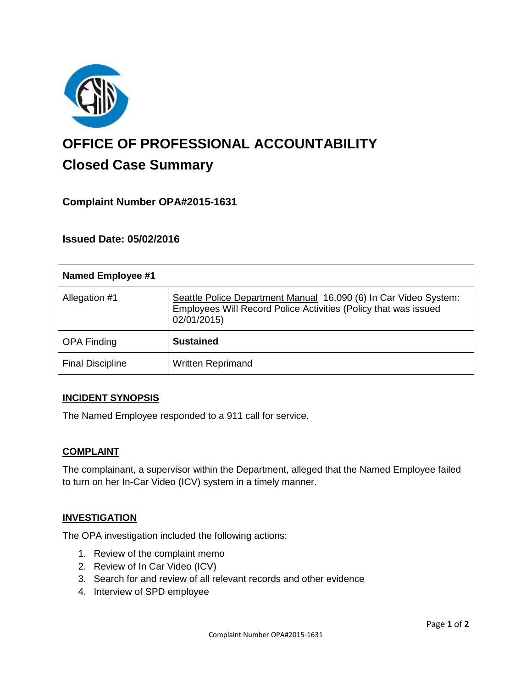

# **OFFICE OF PROFESSIONAL ACCOUNTABILITY Closed Case Summary**

# **Complaint Number OPA#2015-1631**

# **Issued Date: 05/02/2016**

| <b>Named Employee #1</b> |                                                                                                                                                    |
|--------------------------|----------------------------------------------------------------------------------------------------------------------------------------------------|
| Allegation #1            | Seattle Police Department Manual 16.090 (6) In Car Video System:<br>Employees Will Record Police Activities (Policy that was issued<br>02/01/2015) |
| <b>OPA Finding</b>       | <b>Sustained</b>                                                                                                                                   |
| <b>Final Discipline</b>  | <b>Written Reprimand</b>                                                                                                                           |

#### **INCIDENT SYNOPSIS**

The Named Employee responded to a 911 call for service.

#### **COMPLAINT**

The complainant, a supervisor within the Department, alleged that the Named Employee failed to turn on her In-Car Video (ICV) system in a timely manner.

#### **INVESTIGATION**

The OPA investigation included the following actions:

- 1. Review of the complaint memo
- 2. Review of In Car Video (ICV)
- 3. Search for and review of all relevant records and other evidence
- 4. Interview of SPD employee